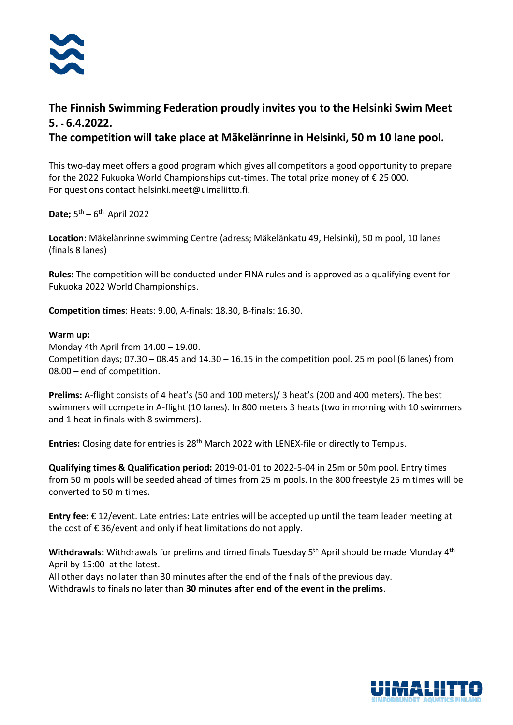

## **The Finnish Swimming Federation proudly invites you to the Helsinki Swim Meet 5. - 6.4.2022.**

**The competition will take place at Mäkelänrinne in Helsinki, 50 m 10 lane pool.** 

This two-day meet offers a good program which gives all competitors a good opportunity to prepare for the 2022 Fukuoka World Championships cut-times. The total prize money of € 25 000. For questions contact helsinki.meet@uimaliitto.fi.

Date; 5<sup>th</sup> – 6<sup>th</sup> April 2022

**Location:** Mäkelänrinne swimming Centre (adress; Mäkelänkatu 49, Helsinki), 50 m pool, 10 lanes (finals 8 lanes)

**Rules:** The competition will be conducted under FINA rules and is approved as a qualifying event for Fukuoka 2022 World Championships.

**Competition times**: Heats: 9.00, A-finals: 18.30, B-finals: 16.30.

#### **Warm up:**

Monday 4th April from 14.00 – 19.00. Competition days;  $07.30 - 08.45$  and  $14.30 - 16.15$  in the competition pool. 25 m pool (6 lanes) from 08.00 – end of competition.

**Prelims:** A-flight consists of 4 heat's (50 and 100 meters)/ 3 heat's (200 and 400 meters). The best swimmers will compete in A-flight (10 lanes). In 800 meters 3 heats (two in morning with 10 swimmers and 1 heat in finals with 8 swimmers).

**Entries:** Closing date for entries is 28th March 2022 with LENEX-file or directly to Tempus.

**Qualifying times & Qualification period:** 2019-01-01 to 2022-5-04 in 25m or 50m pool. Entry times from 50 m pools will be seeded ahead of times from 25 m pools. In the 800 freestyle 25 m times will be converted to 50 m times.

**Entry fee:** € 12/event. Late entries: Late entries will be accepted up until the team leader meeting at the cost of  $\epsilon$  36/event and only if heat limitations do not apply.

Withdrawals: Withdrawals for prelims and timed finals Tuesday 5<sup>th</sup> April should be made Monday 4<sup>th</sup> April by 15:00 at the latest.

All other days no later than 30 minutes after the end of the finals of the previous day. Withdrawls to finals no later than **30 minutes after end of the event in the prelims**.

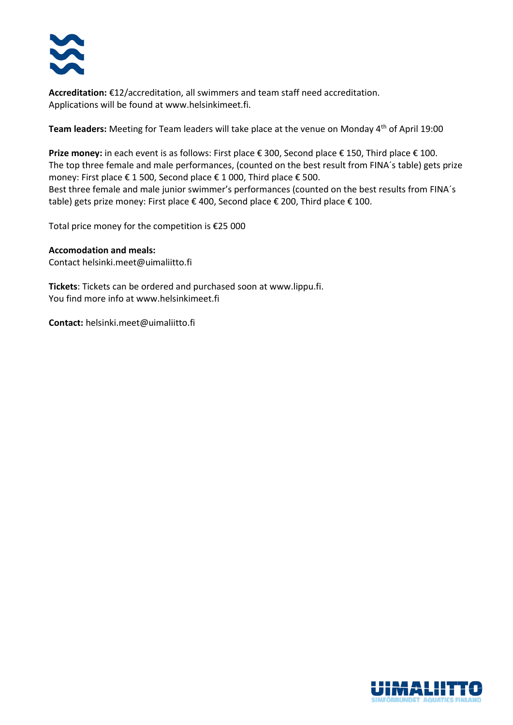

**Accreditation:** €12/accreditation, all swimmers and team staff need accreditation. Applications will be found at www.helsinkimeet.fi.

Team leaders: Meeting for Team leaders will take place at the venue on Monday 4<sup>th</sup> of April 19:00

**Prize money:** in each event is as follows: First place € 300, Second place € 150, Third place € 100. The top three female and male performances, (counted on the best result from FINA´s table) gets prize money: First place € 1 500, Second place € 1 000, Third place € 500. Best three female and male junior swimmer's performances (counted on the best results from FINA´s table) gets prize money: First place € 400, Second place € 200, Third place € 100.

Total price money for the competition is €25 000

#### **Accomodation and meals:**

Contact helsinki.meet@uimaliitto.fi

**Tickets**: Tickets can be ordered and purchased soon at www.lippu.fi. You find more info at www.helsinkimeet.fi

**Contact:** helsinki.meet@uimaliitto.fi

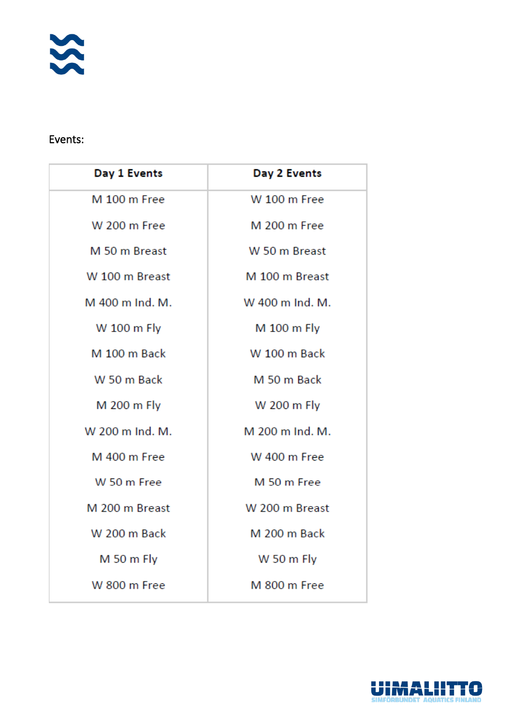

### Events:

| Day 2 Events        |
|---------------------|
| <b>W</b> 100 m Free |
| M 200 m Free        |
| W 50 m Breast       |
| M 100 m Breast      |
| W 400 m Ind. M.     |
| M 100 m Fly         |
| <b>W</b> 100 m Back |
| M 50 m Back         |
| W 200 m Fly         |
| M 200 m Ind. M.     |
| <b>W</b> 400 m Free |
| M 50 m Free         |
| W 200 m Breast      |
| M 200 m Back        |
| W 50 m Fly          |
| M 800 m Free        |
|                     |